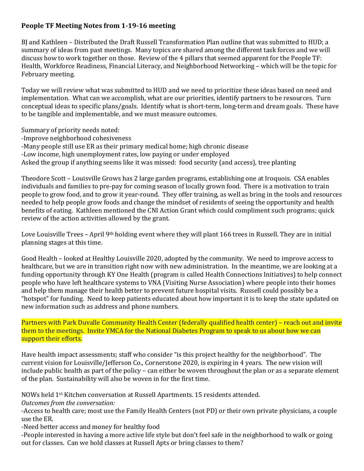## **People TF Meeting Notes from 1-19-16 meeting**

BJ and Kathleen – Distributed the Draft Russell Transformation Plan outline that was submitted to HUD; a summary of ideas from past meetings. Many topics are shared among the different task forces and we will discuss how to work together on those. Review of the 4 pillars that seemed apparent for the People TF: Health, Workforce Readiness, Financial Literacy, and Neighborhood Networking – which will be the topic for February meeting.

Today we will review what was submitted to HUD and we need to prioritize these ideas based on need and implementation. What can we accomplish, what are our priorities, identify partners to be resources. Turn conceptual ideas to specific plans/goals. Identify what is short-term, long-term and dream goals. These have to be tangible and implementable, and we must measure outcomes.

Summary of priority needs noted:

- -Improve neighborhood cohesiveness
- -Many people still use ER as their primary medical home; high chronic disease
- -Low income, high unemployment rates, low paying or under employed
- Asked the group if anything seems like it was missed: food security (and access), tree planting

Theodore Scott – Louisville Grows has 2 large garden programs, establishing one at Iroquois. CSA enables individuals and families to pre-pay for coming season of locally grown food. There is a motivation to train people to grow food, and to grow it year-round. They offer training, as well as bring in the tools and resources needed to help people grow foods and change the mindset of residents of seeing the opportunity and health benefits of eating. Kathleen mentioned the CNI Action Grant which could compliment such programs; quick review of the action activities allowed by the grant.

Love Louisville Trees – April 9<sup>th</sup> holding event where they will plant 166 trees in Russell. They are in initial planning stages at this time.

Good Health – looked at Healthy Louisville 2020, adopted by the community. We need to improve access to healthcare, but we are in transition right now with new administration. In the meantime, we are looking at a funding opportunity through KY One Health (program is called Health Connections Initiatives) to help connect people who have left healthcare systems to VNA (Visiting Nurse Association) where people into their homes and help them manage their health better to prevent future hospital visits. Russell could possibly be a "hotspot" for funding. Need to keep patients educated about how important it is to keep the state updated on new information such as address and phone numbers.

Partners with Park Duvalle Community Health Center (federally qualified health center) – reach out and invite them to the meetings. Invite YMCA for the National Diabetes Program to speak to us about how we can support their efforts.

Have health impact assessments; staff who consider "is this project healthy for the neighborhood". The current vision for Louisville/Jefferson Co., Cornerstone 2020, is expiring in 4 years. The new vision will include public health as part of the policy – can either be woven throughout the plan or as a separate element of the plan. Sustainability will also be woven in for the first time.

NOWs held 1st Kitchen conversation at Russell Apartments. 15 residents attended.

*Outcomes from the conversation:* 

-Access to health care; most use the Family Health Centers (not PD) or their own private physicians, a couple use the ER.

-Need better access and money for healthy food

-People interested in having a more active life style but don't feel safe in the neighborhood to walk or going out for classes. Can we hold classes at Russell Apts or bring classes to them?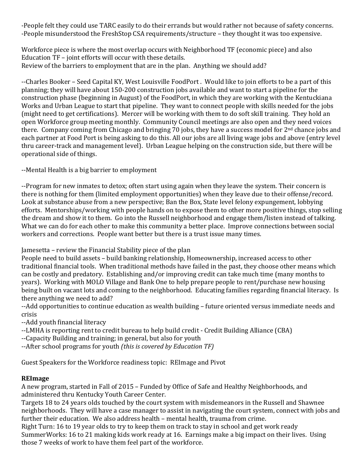-People felt they could use TARC easily to do their errands but would rather not because of safety concerns. -People misunderstood the FreshStop CSA requirements/structure – they thought it was too expensive.

Workforce piece is where the most overlap occurs with Neighborhood TF (economic piece) and also Education TF – joint efforts will occur with these details. Review of the barriers to employment that are in the plan. Anything we should add?

--Charles Booker – Seed Capital KY, West Louisville FoodPort . Would like to join efforts to be a part of this planning; they will have about 150-200 construction jobs available and want to start a pipeline for the construction phase (beginning in August) of the FoodPort, in which they are working with the Kentuckiana Works and Urban League to start that pipeline. They want to connect people with skills needed for the jobs (might need to get certifications). Mercer will be working with them to do soft skill training. They hold an open Workforce group meeting monthly. Community Council meetings are also open and they need voices there. Company coming from Chicago and bringing 70 jobs, they have a success model for 2<sup>nd</sup> chance jobs and each partner at Food Port is being asking to do this. All our jobs are all living wage jobs and above (entry level thru career-track and management level). Urban League helping on the construction side, but there will be operational side of things.

--Mental Health is a big barrier to employment

--Program for new inmates to detox; often start using again when they leave the system. Their concern is there is nothing for them (limited employment opportunities) when they leave due to their offense/record. Look at substance abuse from a new perspective; Ban the Box, State level felony expungement, lobbying efforts. Mentorships/working with people hands on to expose them to other more positive things, stop selling the dream and show it to them. Go into the Russell neighborhood and engage them/listen instead of talking. What we can do for each other to make this community a better place. Improve connections between social workers and corrections. People want better but there is a trust issue many times.

## Jamesetta – review the Financial Stability piece of the plan

People need to build assets – build banking relationship, Homeownership, increased access to other traditional financial tools. When traditional methods have failed in the past, they choose other means which can be costly and predatory. Establishing and/or improving credit can take much time (many months to years). Working with MOLO Village and Bank One to help prepare people to rent/purchase new housing being built on vacant lots and coming to the neighborhood. Educating families regarding financial literacy. Is there anything we need to add?

--Add opportunities to continue education as wealth building – future oriented versus immediate needs and crisis

--Add youth financial literacy

- --LMHA is reporting rent to credit bureau to help build credit Credit Building Alliance (CBA)
- --Capacity Building and training; in general, but also for youth

--After school programs for youth *(this is covered by Education TF)*

Guest Speakers for the Workforce readiness topic: REImage and Pivot

## **REImage**

A new program, started in Fall of 2015 – Funded by Office of Safe and Healthy Neighborhoods, and administered thru Kentucky Youth Career Center.

Targets 18 to 24 years olds touched by the court system with misdemeanors in the Russell and Shawnee neighborhoods. They will have a case manager to assist in navigating the court system, connect with jobs and further their education. We also address health – mental health, trauma from crime.

Right Turn: 16 to 19 year olds to try to keep them on track to stay in school and get work ready SummerWorks: 16 to 21 making kids work ready at 16. Earnings make a big impact on their lives. Using those 7 weeks of work to have them feel part of the workforce.